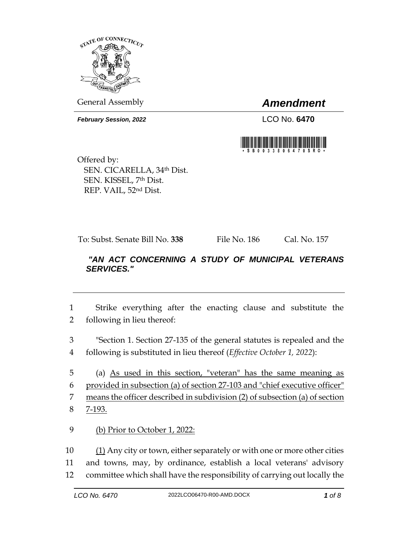

General Assembly *Amendment*

*February Session, 2022* LCO No. 6470



Offered by: SEN. CICARELLA, 34th Dist. SEN. KISSEL, 7th Dist. REP. VAIL, 52nd Dist.

To: Subst. Senate Bill No. **338** File No. 186 Cal. No. 157

## *"AN ACT CONCERNING A STUDY OF MUNICIPAL VETERANS SERVICES."*

1 Strike everything after the enacting clause and substitute the 2 following in lieu thereof:

3 "Section 1. Section 27-135 of the general statutes is repealed and the 4 following is substituted in lieu thereof (*Effective October 1, 2022*):

 (a) As used in this section, "veteran" has the same meaning as provided in subsection (a) of section 27-103 and "chief executive officer" means the officer described in subdivision (2) of subsection (a) of section 8 7-193.

9 (b) Prior to October 1, 2022:

10 (1) Any city or town, either separately or with one or more other cities 11 and towns, may, by ordinance, establish a local veterans' advisory 12 committee which shall have the responsibility of carrying out locally the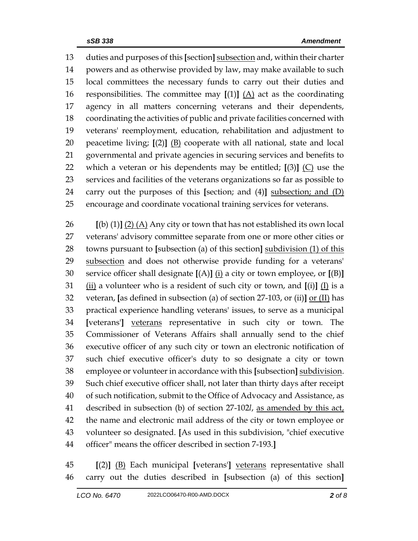duties and purposes of this **[**section**]** subsection and, within their charter powers and as otherwise provided by law, may make available to such local committees the necessary funds to carry out their duties and responsibilities. The committee may **[**(1)**]** (A) act as the coordinating agency in all matters concerning veterans and their dependents, coordinating the activities of public and private facilities concerned with veterans' reemployment, education, rehabilitation and adjustment to peacetime living; **[**(2)**]** (B) cooperate with all national, state and local governmental and private agencies in securing services and benefits to which a veteran or his dependents may be entitled; **[**(3)**]** (C) use the services and facilities of the veterans organizations so far as possible to carry out the purposes of this **[**section; and (4)**]** subsection; and (D) encourage and coordinate vocational training services for veterans.

 **[**(b) (1)**]** (2) (A) Any city or town that has not established its own local veterans' advisory committee separate from one or more other cities or towns pursuant to **[**subsection (a) of this section**]** subdivision (1) of this 29 subsection and does not otherwise provide funding for a veterans' service officer shall designate **[**(A)**]** (i) a city or town employee, or **[**(B)**]** (ii) a volunteer who is a resident of such city or town, and **[**(i)**]** (I) is a veteran, **[**as defined in subsection (a) of section 27-103, or (ii)**]** or (II) has practical experience handling veterans' issues, to serve as a municipal **[**veterans'**]** veterans representative in such city or town. The Commissioner of Veterans Affairs shall annually send to the chief executive officer of any such city or town an electronic notification of such chief executive officer's duty to so designate a city or town employee or volunteer in accordance with this **[**subsection**]** subdivision. Such chief executive officer shall, not later than thirty days after receipt of such notification, submit to the Office of Advocacy and Assistance, as described in subsection (b) of section 27-102*l*, as amended by this act, the name and electronic mail address of the city or town employee or volunteer so designated. **[**As used in this subdivision, "chief executive officer" means the officer described in section 7-193.**]**

 **[**(2)**]** (B) Each municipal **[**veterans'**]** veterans representative shall carry out the duties described in **[**subsection (a) of this section**]**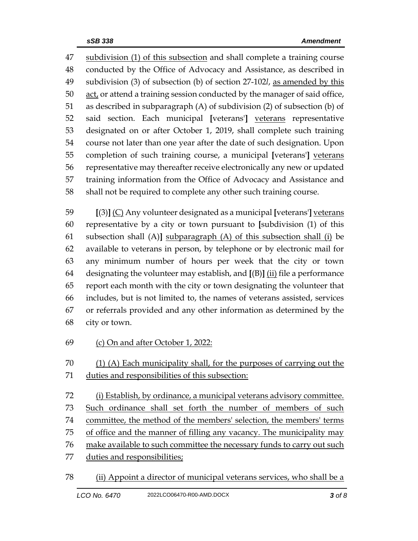subdivision (1) of this subsection and shall complete a training course conducted by the Office of Advocacy and Assistance, as described in subdivision (3) of subsection (b) of section 27-102*l*, as amended by this act, or attend a training session conducted by the manager of said office, as described in subparagraph (A) of subdivision (2) of subsection (b) of said section. Each municipal **[**veterans'**]** veterans representative designated on or after October 1, 2019, shall complete such training course not later than one year after the date of such designation. Upon completion of such training course, a municipal **[**veterans'**]** veterans representative may thereafter receive electronically any new or updated training information from the Office of Advocacy and Assistance and shall not be required to complete any other such training course.

 **[**(3)**]** (C) Any volunteer designated as a municipal **[**veterans'**]** veterans representative by a city or town pursuant to **[**subdivision (1) of this subsection shall (A)**]** subparagraph (A) of this subsection shall (i) be available to veterans in person, by telephone or by electronic mail for any minimum number of hours per week that the city or town designating the volunteer may establish, and **[**(B)**]** (ii) file a performance report each month with the city or town designating the volunteer that includes, but is not limited to, the names of veterans assisted, services or referrals provided and any other information as determined by the city or town.

(c) On and after October 1, 2022:

 (1) (A) Each municipality shall, for the purposes of carrying out the duties and responsibilities of this subsection:

 (i) Establish, by ordinance, a municipal veterans advisory committee. Such ordinance shall set forth the number of members of such committee, the method of the members' selection, the members' terms of office and the manner of filling any vacancy. The municipality may make available to such committee the necessary funds to carry out such duties and responsibilities;

(ii) Appoint a director of municipal veterans services, who shall be a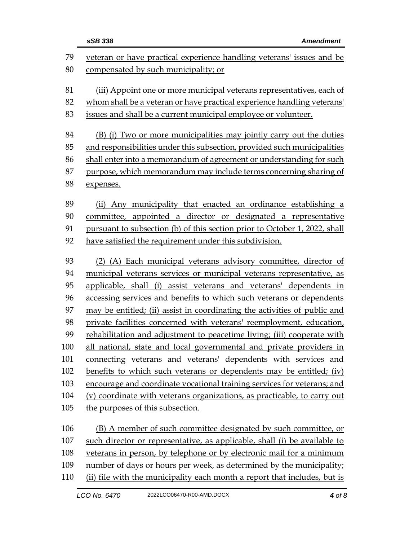| veteran or have practical experience handling veterans' issues and be                |                                                                      |  |  |
|--------------------------------------------------------------------------------------|----------------------------------------------------------------------|--|--|
| 80<br>compensated by such municipality; or                                           |                                                                      |  |  |
| 81<br>(iii) Appoint one or more municipal veterans representatives, each of          |                                                                      |  |  |
| 82<br>whom shall be a veteran or have practical experience handling veterans'        |                                                                      |  |  |
| 83<br>issues and shall be a current municipal employee or volunteer.                 |                                                                      |  |  |
|                                                                                      |                                                                      |  |  |
| 84<br>(B) (i) Two or more municipalities may jointly carry out the duties            |                                                                      |  |  |
| and responsibilities under this subsection, provided such municipalities<br>85<br>86 |                                                                      |  |  |
| shall enter into a memorandum of agreement or understanding for such                 |                                                                      |  |  |
| purpose, which memorandum may include terms concerning sharing of                    |                                                                      |  |  |
| 88<br>expenses.                                                                      |                                                                      |  |  |
| 89<br>(ii) Any municipality that enacted an ordinance establishing a                 |                                                                      |  |  |
| committee, appointed a director or designated a representative<br>90                 |                                                                      |  |  |
| pursuant to subsection (b) of this section prior to October 1, 2022, shall<br>91     |                                                                      |  |  |
| have satisfied the requirement under this subdivision.<br>92                         |                                                                      |  |  |
|                                                                                      |                                                                      |  |  |
| 93<br>(2) (A) Each municipal veterans advisory committee, director of                |                                                                      |  |  |
| 94<br>municipal veterans services or municipal veterans representative, as           |                                                                      |  |  |
| 95<br>applicable, shall (i) assist veterans and veterans' dependents in              |                                                                      |  |  |
| 96<br>accessing services and benefits to which such veterans or dependents           |                                                                      |  |  |
| 97<br>may be entitled; (ii) assist in coordinating the activities of public and      |                                                                      |  |  |
| 98                                                                                   | private facilities concerned with veterans' reemployment, education, |  |  |
| rehabilitation and adjustment to peacetime living; (iii) cooperate with<br>99        |                                                                      |  |  |
| all national, state and local governmental and private providers in<br>100           |                                                                      |  |  |
| 101<br>connecting veterans and veterans' dependents with services and                |                                                                      |  |  |
| 102<br>benefits to which such veterans or dependents may be entitled; (iv)           |                                                                      |  |  |
| 103<br>encourage and coordinate vocational training services for veterans; and       |                                                                      |  |  |
| 104<br>(v) coordinate with veterans organizations, as practicable, to carry out      |                                                                      |  |  |
| 105<br>the purposes of this subsection.                                              |                                                                      |  |  |
| 106<br>(B) A member of such committee designated by such committee, or               |                                                                      |  |  |
| 107<br>such director or representative, as applicable, shall (i) be available to     |                                                                      |  |  |
| 108<br>veterans in person, by telephone or by electronic mail for a minimum          |                                                                      |  |  |
| 109<br>number of days or hours per week, as determined by the municipality;          |                                                                      |  |  |
| 110<br>(ii) file with the municipality each month a report that includes, but is     |                                                                      |  |  |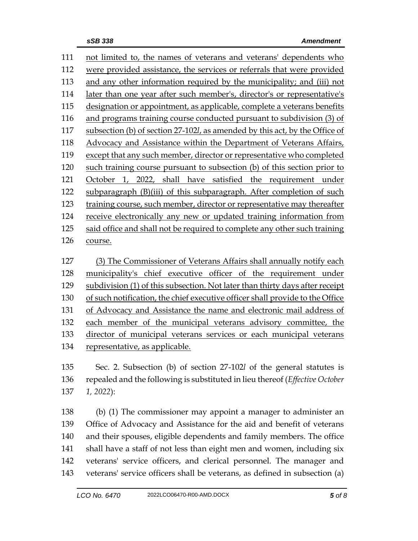| 111 | not limited to, the names of veterans and veterans' dependents who            |
|-----|-------------------------------------------------------------------------------|
| 112 | were provided assistance, the services or referrals that were provided        |
| 113 | and any other information required by the municipality; and (iii) not         |
| 114 | later than one year after such member's, director's or representative's       |
| 115 | designation or appointment, as applicable, complete a veterans benefits       |
| 116 | and programs training course conducted pursuant to subdivision (3) of         |
| 117 | subsection (b) of section 27-102l, as amended by this act, by the Office of   |
| 118 | Advocacy and Assistance within the Department of Veterans Affairs,            |
| 119 | except that any such member, director or representative who completed         |
| 120 | such training course pursuant to subsection (b) of this section prior to      |
| 121 | October 1, 2022, shall have satisfied the requirement under                   |
| 122 | subparagraph (B)(iii) of this subparagraph. After completion of such          |
| 123 | training course, such member, director or representative may thereafter       |
| 124 | receive electronically any new or updated training information from           |
| 125 | said office and shall not be required to complete any other such training     |
| 126 | course.                                                                       |
| 127 |                                                                               |
|     | (3) The Commissioner of Veterans Affairs shall annually notify each           |
| 128 | municipality's chief executive officer of the requirement under               |
| 129 | subdivision (1) of this subsection. Not later than thirty days after receipt  |
| 130 | of such notification, the chief executive officer shall provide to the Office |
| 131 | of Advocacy and Assistance the name and electronic mail address of            |

 each member of the municipal veterans advisory committee, the director of municipal veterans services or each municipal veterans 134 representative, as applicable.

 Sec. 2. Subsection (b) of section 27-102*l* of the general statutes is repealed and the following is substituted in lieu thereof (*Effective October 1, 2022*):

 (b) (1) The commissioner may appoint a manager to administer an Office of Advocacy and Assistance for the aid and benefit of veterans and their spouses, eligible dependents and family members. The office shall have a staff of not less than eight men and women, including six veterans' service officers, and clerical personnel. The manager and veterans' service officers shall be veterans, as defined in subsection (a)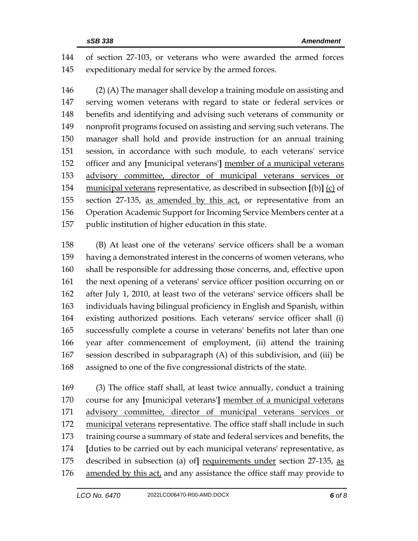of section 27-103, or veterans who were awarded the armed forces expeditionary medal for service by the armed forces.

 (2) (A) The manager shall develop a training module on assisting and serving women veterans with regard to state or federal services or benefits and identifying and advising such veterans of community or nonprofit programs focused on assisting and serving such veterans. The manager shall hold and provide instruction for an annual training session, in accordance with such module, to each veterans' service officer and any **[**municipal veterans'**]** member of a municipal veterans advisory committee, director of municipal veterans services or municipal veterans representative, as described in subsection **[**(b)**]** (c) of section 27-135, as amended by this act, or representative from an Operation Academic Support for Incoming Service Members center at a public institution of higher education in this state.

 (B) At least one of the veterans' service officers shall be a woman having a demonstrated interest in the concerns of women veterans, who shall be responsible for addressing those concerns, and, effective upon the next opening of a veterans' service officer position occurring on or after July 1, 2010, at least two of the veterans' service officers shall be individuals having bilingual proficiency in English and Spanish, within existing authorized positions. Each veterans' service officer shall (i) successfully complete a course in veterans' benefits not later than one year after commencement of employment, (ii) attend the training session described in subparagraph (A) of this subdivision, and (iii) be assigned to one of the five congressional districts of the state.

 (3) The office staff shall, at least twice annually, conduct a training course for any **[**municipal veterans'**]** member of a municipal veterans advisory committee, director of municipal veterans services or 172 municipal veterans representative. The office staff shall include in such training course a summary of state and federal services and benefits, the **[**duties to be carried out by each municipal veterans' representative, as described in subsection (a) of**]** requirements under section 27-135, as amended by this act, and any assistance the office staff may provide to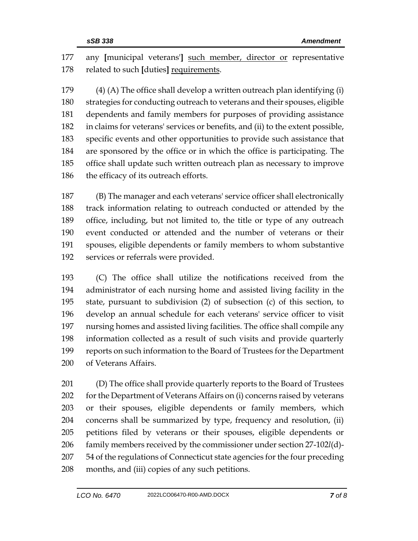any **[**municipal veterans'**]** such member, director or representative related to such **[**duties**]** requirements.

 (4) (A) The office shall develop a written outreach plan identifying (i) strategies for conducting outreach to veterans and their spouses, eligible dependents and family members for purposes of providing assistance in claims for veterans' services or benefits, and (ii) to the extent possible, specific events and other opportunities to provide such assistance that are sponsored by the office or in which the office is participating. The office shall update such written outreach plan as necessary to improve 186 the efficacy of its outreach efforts.

 (B) The manager and each veterans' service officer shall electronically track information relating to outreach conducted or attended by the office, including, but not limited to, the title or type of any outreach event conducted or attended and the number of veterans or their spouses, eligible dependents or family members to whom substantive services or referrals were provided.

 (C) The office shall utilize the notifications received from the administrator of each nursing home and assisted living facility in the state, pursuant to subdivision (2) of subsection (c) of this section, to develop an annual schedule for each veterans' service officer to visit nursing homes and assisted living facilities. The office shall compile any information collected as a result of such visits and provide quarterly reports on such information to the Board of Trustees for the Department of Veterans Affairs.

 (D) The office shall provide quarterly reports to the Board of Trustees for the Department of Veterans Affairs on (i) concerns raised by veterans or their spouses, eligible dependents or family members, which concerns shall be summarized by type, frequency and resolution, (ii) petitions filed by veterans or their spouses, eligible dependents or family members received by the commissioner under section 27-102*l*(d)- 54 of the regulations of Connecticut state agencies for the four preceding months, and (iii) copies of any such petitions.